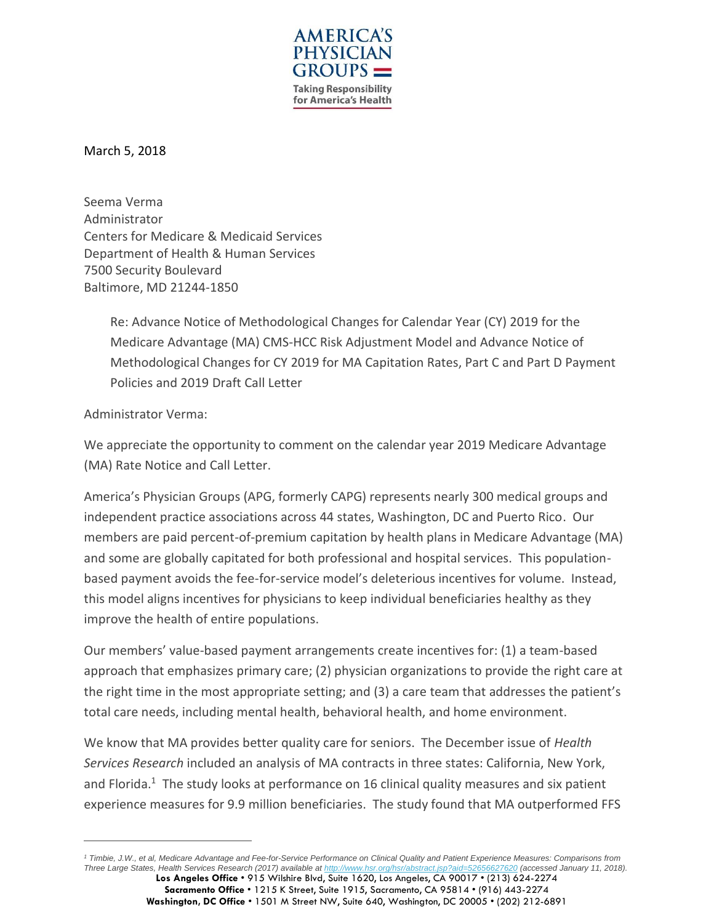

March 5, 2018

Seema Verma Administrator Centers for Medicare & Medicaid Services Department of Health & Human Services 7500 Security Boulevard Baltimore, MD 21244-1850

> Re: Advance Notice of Methodological Changes for Calendar Year (CY) 2019 for the Medicare Advantage (MA) CMS-HCC Risk Adjustment Model and Advance Notice of Methodological Changes for CY 2019 for MA Capitation Rates, Part C and Part D Payment Policies and 2019 Draft Call Letter

Administrator Verma:

 $\overline{a}$ 

We appreciate the opportunity to comment on the calendar year 2019 Medicare Advantage (MA) Rate Notice and Call Letter.

America's Physician Groups (APG, formerly CAPG) represents nearly 300 medical groups and independent practice associations across 44 states, Washington, DC and Puerto Rico. Our members are paid percent-of-premium capitation by health plans in Medicare Advantage (MA) and some are globally capitated for both professional and hospital services. This populationbased payment avoids the fee-for-service model's deleterious incentives for volume. Instead, this model aligns incentives for physicians to keep individual beneficiaries healthy as they improve the health of entire populations.

Our members' value-based payment arrangements create incentives for: (1) a team-based approach that emphasizes primary care; (2) physician organizations to provide the right care at the right time in the most appropriate setting; and (3) a care team that addresses the patient's total care needs, including mental health, behavioral health, and home environment.

We know that MA provides better quality care for seniors. The December issue of *Health Services Research* included an analysis of MA contracts in three states: California, New York, and Florida.<sup>1</sup> The study looks at performance on 16 clinical quality measures and six patient experience measures for 9.9 million beneficiaries. The study found that MA outperformed FFS

*<sup>1</sup> Timbie, J.W., et al, Medicare Advantage and Fee-for-Service Performance on Clinical Quality and Patient Experience Measures: Comparisons from Three Large States, Health Services Research (2017) available a[t http://www.hsr.org/hsr/abstract.jsp?aid=52656627620](http://www.hsr.org/hsr/abstract.jsp?aid=52656627620) (accessed January 11, 2018).*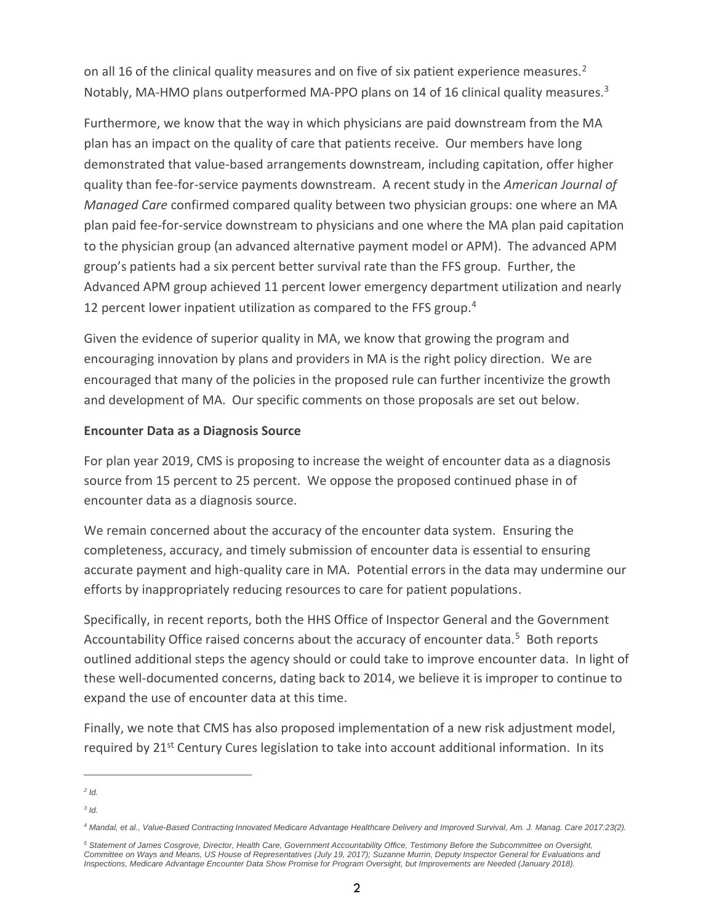on all 16 of the clinical quality measures and on five of six patient experience measures.<sup>2</sup> Notably, MA-HMO plans outperformed MA-PPO plans on 14 of 16 clinical quality measures. $3$ 

Furthermore, we know that the way in which physicians are paid downstream from the MA plan has an impact on the quality of care that patients receive. Our members have long demonstrated that value-based arrangements downstream, including capitation, offer higher quality than fee-for-service payments downstream. A recent study in the *American Journal of Managed Care* confirmed compared quality between two physician groups: one where an MA plan paid fee-for-service downstream to physicians and one where the MA plan paid capitation to the physician group (an advanced alternative payment model or APM). The advanced APM group's patients had a six percent better survival rate than the FFS group. Further, the Advanced APM group achieved 11 percent lower emergency department utilization and nearly 12 percent lower inpatient utilization as compared to the FFS group.<sup>4</sup>

Given the evidence of superior quality in MA, we know that growing the program and encouraging innovation by plans and providers in MA is the right policy direction. We are encouraged that many of the policies in the proposed rule can further incentivize the growth and development of MA. Our specific comments on those proposals are set out below.

### **Encounter Data as a Diagnosis Source**

For plan year 2019, CMS is proposing to increase the weight of encounter data as a diagnosis source from 15 percent to 25 percent. We oppose the proposed continued phase in of encounter data as a diagnosis source.

We remain concerned about the accuracy of the encounter data system. Ensuring the completeness, accuracy, and timely submission of encounter data is essential to ensuring accurate payment and high-quality care in MA. Potential errors in the data may undermine our efforts by inappropriately reducing resources to care for patient populations.

Specifically, in recent reports, both the HHS Office of Inspector General and the Government Accountability Office raised concerns about the accuracy of encounter data.<sup>5</sup> Both reports outlined additional steps the agency should or could take to improve encounter data. In light of these well-documented concerns, dating back to 2014, we believe it is improper to continue to expand the use of encounter data at this time.

Finally, we note that CMS has also proposed implementation of a new risk adjustment model, required by 21<sup>st</sup> Century Cures legislation to take into account additional information. In its

 $\overline{a}$ *2 Id.*

*<sup>3</sup> Id.*

*<sup>4</sup> Mandal, et al., Value-Based Contracting Innovated Medicare Advantage Healthcare Delivery and Improved Survival, Am. J. Manag. Care 2017:23(2).*

*<sup>5</sup> Statement of James Cosgrove, Director, Health Care, Government Accountability Office, Testimony Before the Subcommittee on Oversight, Committee on Ways and Means, US House of Representatives (July 19, 2017); Suzanne Murrin, Deputy Inspector General for Evaluations and Inspections, Medicare Advantage Encounter Data Show Promise for Program Oversight, but Improvements are Needed (January 2018).*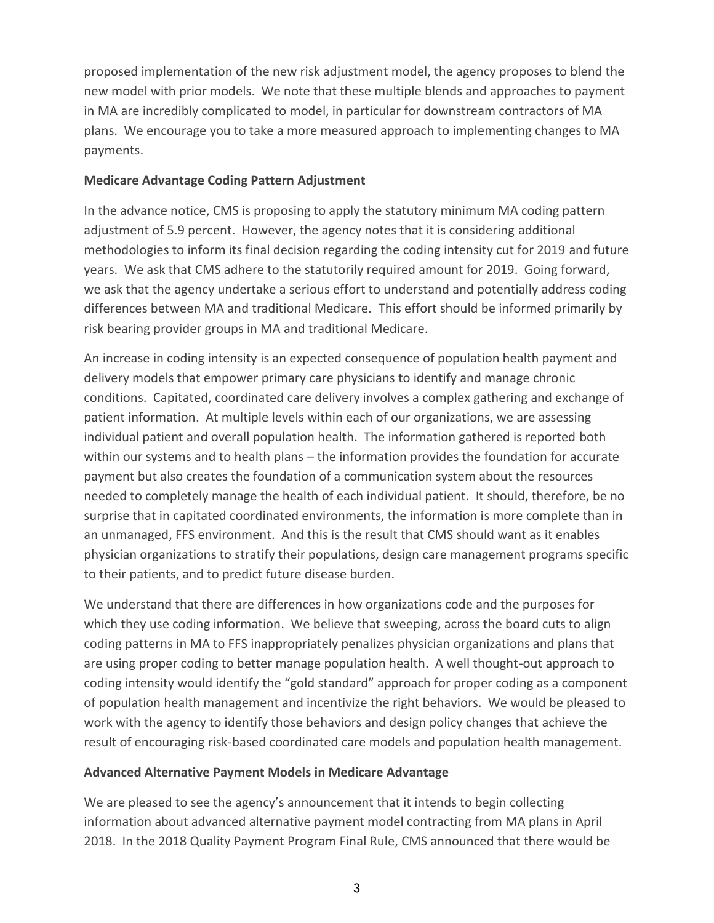proposed implementation of the new risk adjustment model, the agency proposes to blend the new model with prior models. We note that these multiple blends and approaches to payment in MA are incredibly complicated to model, in particular for downstream contractors of MA plans. We encourage you to take a more measured approach to implementing changes to MA payments.

## **Medicare Advantage Coding Pattern Adjustment**

In the advance notice, CMS is proposing to apply the statutory minimum MA coding pattern adjustment of 5.9 percent. However, the agency notes that it is considering additional methodologies to inform its final decision regarding the coding intensity cut for 2019 and future years. We ask that CMS adhere to the statutorily required amount for 2019. Going forward, we ask that the agency undertake a serious effort to understand and potentially address coding differences between MA and traditional Medicare. This effort should be informed primarily by risk bearing provider groups in MA and traditional Medicare.

An increase in coding intensity is an expected consequence of population health payment and delivery models that empower primary care physicians to identify and manage chronic conditions. Capitated, coordinated care delivery involves a complex gathering and exchange of patient information. At multiple levels within each of our organizations, we are assessing individual patient and overall population health. The information gathered is reported both within our systems and to health plans – the information provides the foundation for accurate payment but also creates the foundation of a communication system about the resources needed to completely manage the health of each individual patient. It should, therefore, be no surprise that in capitated coordinated environments, the information is more complete than in an unmanaged, FFS environment. And this is the result that CMS should want as it enables physician organizations to stratify their populations, design care management programs specific to their patients, and to predict future disease burden.

We understand that there are differences in how organizations code and the purposes for which they use coding information. We believe that sweeping, across the board cuts to align coding patterns in MA to FFS inappropriately penalizes physician organizations and plans that are using proper coding to better manage population health. A well thought-out approach to coding intensity would identify the "gold standard" approach for proper coding as a component of population health management and incentivize the right behaviors. We would be pleased to work with the agency to identify those behaviors and design policy changes that achieve the result of encouraging risk-based coordinated care models and population health management.

## **Advanced Alternative Payment Models in Medicare Advantage**

We are pleased to see the agency's announcement that it intends to begin collecting information about advanced alternative payment model contracting from MA plans in April 2018. In the 2018 Quality Payment Program Final Rule, CMS announced that there would be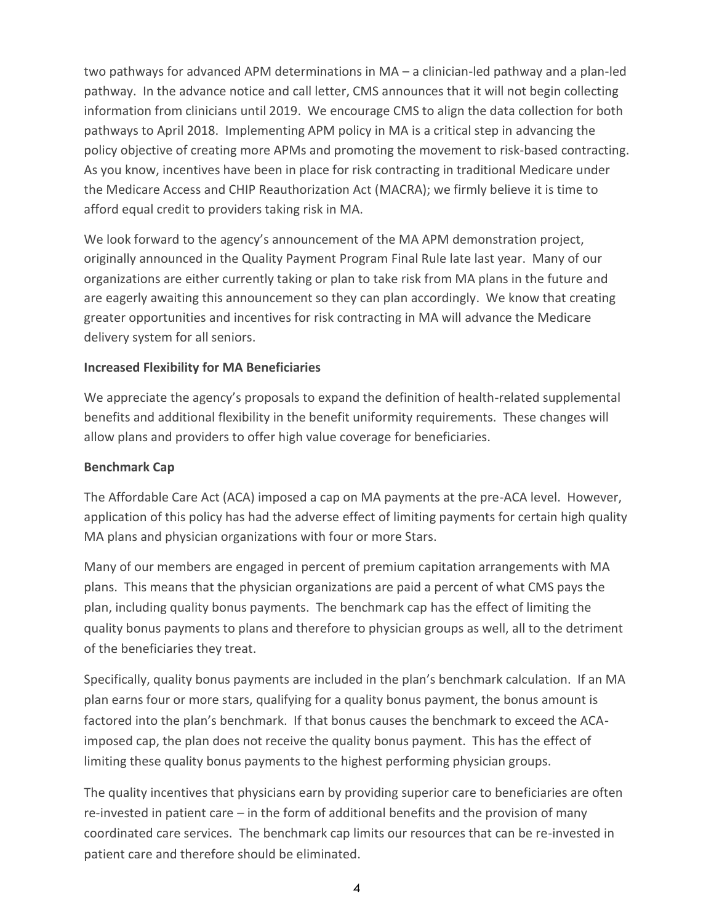two pathways for advanced APM determinations in MA – a clinician-led pathway and a plan-led pathway. In the advance notice and call letter, CMS announces that it will not begin collecting information from clinicians until 2019. We encourage CMS to align the data collection for both pathways to April 2018. Implementing APM policy in MA is a critical step in advancing the policy objective of creating more APMs and promoting the movement to risk-based contracting. As you know, incentives have been in place for risk contracting in traditional Medicare under the Medicare Access and CHIP Reauthorization Act (MACRA); we firmly believe it is time to afford equal credit to providers taking risk in MA.

We look forward to the agency's announcement of the MA APM demonstration project, originally announced in the Quality Payment Program Final Rule late last year. Many of our organizations are either currently taking or plan to take risk from MA plans in the future and are eagerly awaiting this announcement so they can plan accordingly. We know that creating greater opportunities and incentives for risk contracting in MA will advance the Medicare delivery system for all seniors.

## **Increased Flexibility for MA Beneficiaries**

We appreciate the agency's proposals to expand the definition of health-related supplemental benefits and additional flexibility in the benefit uniformity requirements. These changes will allow plans and providers to offer high value coverage for beneficiaries.

# **Benchmark Cap**

The Affordable Care Act (ACA) imposed a cap on MA payments at the pre-ACA level. However, application of this policy has had the adverse effect of limiting payments for certain high quality MA plans and physician organizations with four or more Stars.

Many of our members are engaged in percent of premium capitation arrangements with MA plans. This means that the physician organizations are paid a percent of what CMS pays the plan, including quality bonus payments. The benchmark cap has the effect of limiting the quality bonus payments to plans and therefore to physician groups as well, all to the detriment of the beneficiaries they treat.

Specifically, quality bonus payments are included in the plan's benchmark calculation. If an MA plan earns four or more stars, qualifying for a quality bonus payment, the bonus amount is factored into the plan's benchmark. If that bonus causes the benchmark to exceed the ACAimposed cap, the plan does not receive the quality bonus payment. This has the effect of limiting these quality bonus payments to the highest performing physician groups.

The quality incentives that physicians earn by providing superior care to beneficiaries are often re-invested in patient care – in the form of additional benefits and the provision of many coordinated care services. The benchmark cap limits our resources that can be re-invested in patient care and therefore should be eliminated.